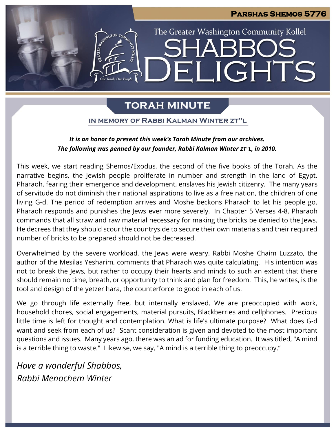# **Parshas Shemos 5776** The Greater Washington Community Kollel IGHTS  $\blacksquare$

# **TORAH MINUTE**

## IN MEMORY OF RABBI KALMAN WINTER ZT"L

# *It is an honor to present this week's Torah Minute from our archives. The following was penned by our founder, Rabbi Kalman Winter ZT"L, in 2010.*

This week, we start reading Shemos/Exodus, the second of the five books of the Torah. As the narrative begins, the Jewish people proliferate in number and strength in the land of Egypt. Pharaoh, fearing their emergence and development, enslaves his Jewish citizenry. The many years of servitude do not diminish their national aspirations to live as a free nation, the children of one living G-d. The period of redemption arrives and Moshe beckons Pharaoh to let his people go. Pharaoh responds and punishes the Jews ever more severely. In Chapter 5 Verses 4-8, Pharaoh commands that all straw and raw material necessary for making the bricks be denied to the Jews. He decrees that they should scour the countryside to secure their own materials and their required number of bricks to be prepared should not be decreased.

Overwhelmed by the severe workload, the Jews were weary. Rabbi Moshe Chaim Luzzato, the author of the Mesilas Yesharim, comments that Pharaoh was quite calculating. His intention was not to break the Jews, but rather to occupy their hearts and minds to such an extent that there should remain no time, breath, or opportunity to think and plan for freedom. This, he writes, is the tool and design of the yetzer hara, the counterforce to good in each of us.

We go through life externally free, but internally enslaved. We are preoccupied with work, household chores, social engagements, material pursuits, Blackberries and cellphones. Precious little time is left for thought and contemplation. What is life's ultimate purpose? What does G-d want and seek from each of us? Scant consideration is given and devoted to the most important questions and issues. Many years ago, there was an ad for funding education. It was titled, "A mind is a terrible thing to waste." Likewise, we say, "A mind is a terrible thing to preoccupy."

*Have a wonderful Shabbos, Rabbi Menachem Winter*